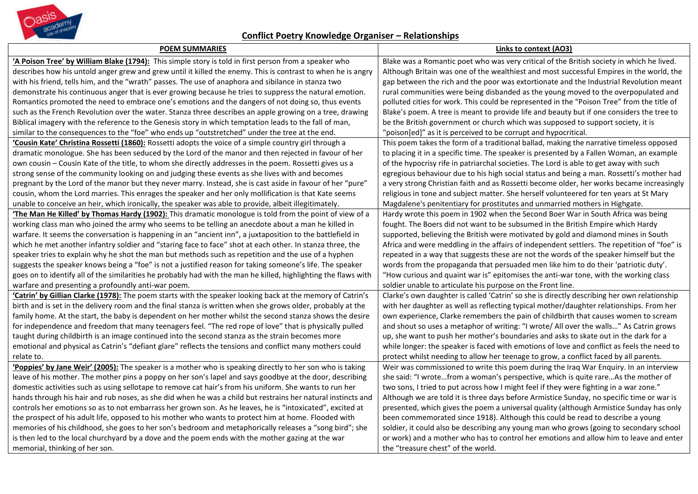

## **Conflict Poetry Knowledge Organiser – Relationships**

| <b>POEM SUMMARIES</b>                                                                                           | Links to context (AO3)                                                                      |
|-----------------------------------------------------------------------------------------------------------------|---------------------------------------------------------------------------------------------|
| 'A Poison Tree' by William Blake (1794): This simple story is told in first person from a speaker who           | Blake was a Romantic poet who was very critical of the British society in which he lived.   |
| describes how his untold anger grew and grew until it killed the enemy. This is contrast to when he is angry    | Although Britain was one of the wealthiest and most successful Empires in the world, the    |
| with his friend, tells him, and the "wrath" passes. The use of anaphora and sibilance in stanza two             | gap between the rich and the poor was extortionate and the Industrial Revolution meant      |
| demonstrate his continuous anger that is ever growing because he tries to suppress the natural emotion.         | rural communities were being disbanded as the young moved to the overpopulated and          |
| Romantics promoted the need to embrace one's emotions and the dangers of not doing so, thus events              | polluted cities for work. This could be represented in the "Poison Tree" from the title of  |
| such as the French Revolution over the water. Stanza three describes an apple growing on a tree, drawing        | Blake's poem. A tree is meant to provide life and beauty but if one considers the tree to   |
| Biblical imagery with the reference to the Genesis story in which temptation leads to the fall of man,          | be the British government or church which was supposed to support society, it is            |
| similar to the consequences to the "foe" who ends up "outstretched" under the tree at the end.                  | "poison[ed]" as it is perceived to be corrupt and hypocritical.                             |
| 'Cousin Kate' Christina Rossetti (1860): Rossetti adopts the voice of a simple country girl through a           | This poem takes the form of a traditional ballad, making the narrative timeless opposed     |
| dramatic monologue. She has been seduced by the Lord of the manor and then rejected in favour of her            | to placing it in a specific time. The speaker is presented by a Fallen Woman, an example    |
| own cousin - Cousin Kate of the title, to whom she directly addresses in the poem. Rossetti gives us a          | of the hypocrisy rife in patriarchal societies. The Lord is able to get away with such      |
| strong sense of the community looking on and judging these events as she lives with and becomes                 | egregious behaviour due to his high social status and being a man. Rossetti's mother had    |
| pregnant by the Lord of the manor but they never marry. Instead, she is cast aside in favour of her "pure"      | a very strong Christian faith and as Rossetti become older, her works became increasingly   |
| cousin, whom the Lord marries. This enrages the speaker and her only mollification is that Kate seems           | religious in tone and subject matter. She herself volunteered for ten years at St Mary      |
| unable to conceive an heir, which ironically, the speaker was able to provide, albeit illegitimately.           | Magdalene's penitentiary for prostitutes and unmarried mothers in Highgate.                 |
| The Man He Killed' by Thomas Hardy (1902): This dramatic monologue is told from the point of view of a          | Hardy wrote this poem in 1902 when the Second Boer War in South Africa was being            |
| working class man who joined the army who seems to be telling an anecdote about a man he killed in              | fought. The Boers did not want to be subsumed in the British Empire which Hardy             |
| warfare. It seems the conversation is happening in an "ancient inn", a juxtaposition to the battlefield in      | supported, believing the British were motivated by gold and diamond mines in South          |
| which he met another infantry soldier and "staring face to face" shot at each other. In stanza three, the       | Africa and were meddling in the affairs of independent settlers. The repetition of "foe" is |
| speaker tries to explain why he shot the man but methods such as repetition and the use of a hyphen             | repeated in a way that suggests these are not the words of the speaker himself but the      |
| suggests the speaker knows being a "foe" is not a justified reason for taking someone's life. The speaker       | words from the propaganda that persuaded men like him to do their 'patriotic duty'.         |
| goes on to identify all of the similarities he probably had with the man he killed, highlighting the flaws with | "How curious and quaint war is" epitomises the anti-war tone, with the working class        |
| warfare and presenting a profoundly anti-war poem.                                                              | soldier unable to articulate his purpose on the Front line.                                 |
| 'Catrin' by Gillian Clarke (1978): The poem starts with the speaker looking back at the memory of Catrin's      | Clarke's own daughter is called 'Catrin' so she is directly describing her own relationship |
| birth and is set in the delivery room and the final stanza is written when she grows older, probably at the     | with her daughter as well as reflecting typical mother/daughter relationships. From her     |
| family home. At the start, the baby is dependent on her mother whilst the second stanza shows the desire        | own experience, Clarke remembers the pain of childbirth that causes women to scream         |
| for independence and freedom that many teenagers feel. "The red rope of love" that is physically pulled         | and shout so uses a metaphor of writing: "I wrote/ All over the walls" As Catrin grows      |
| taught during childbirth is an image continued into the second stanza as the strain becomes more                | up, she want to push her mother's boundaries and asks to skate out in the dark for a        |
| emotional and physical as Catrin's "defiant glare" reflects the tensions and conflict many mothers could        | while longer: the speaker is faced with emotions of love and conflict as feels the need to  |
| relate to.                                                                                                      | protect whilst needing to allow her teenage to grow, a conflict faced by all parents.       |
| 'Poppies' by Jane Weir' (2005): The speaker is a mother who is speaking directly to her son who is taking       | Weir was commissioned to write this poem during the Iraq War Enquiry. In an interview       |
| leave of his mother. The mother pins a poppy on her son's lapel and says goodbye at the door, describing        | she said: "I wrotefrom a woman's perspective, which is quite rareAs the mother of           |
| domestic activities such as using sellotape to remove cat hair's from his uniform. She wants to run her         | two sons, I tried to put across how I might feel if they were fighting in a war zone."      |
| hands through his hair and rub noses, as she did when he was a child but restrains her natural instincts and    | Although we are told it is three days before Armistice Sunday, no specific time or war is   |
| controls her emotions so as to not embarrass her grown son. As he leaves, he is "intoxicated", excited at       | presented, which gives the poem a universal quality (although Armistice Sunday has only     |
| the prospect of his adult life, opposed to his mother who wants to protect him at home. Flooded with            | been commemorated since 1918). Although this could be read to describe a young              |
| memories of his childhood, she goes to her son's bedroom and metaphorically releases a "song bird"; she         | soldier, it could also be describing any young man who grows (going to secondary school     |
| is then led to the local churchyard by a dove and the poem ends with the mother gazing at the war               | or work) and a mother who has to control her emotions and allow him to leave and enter      |
| memorial, thinking of her son.                                                                                  | the "treasure chest" of the world.                                                          |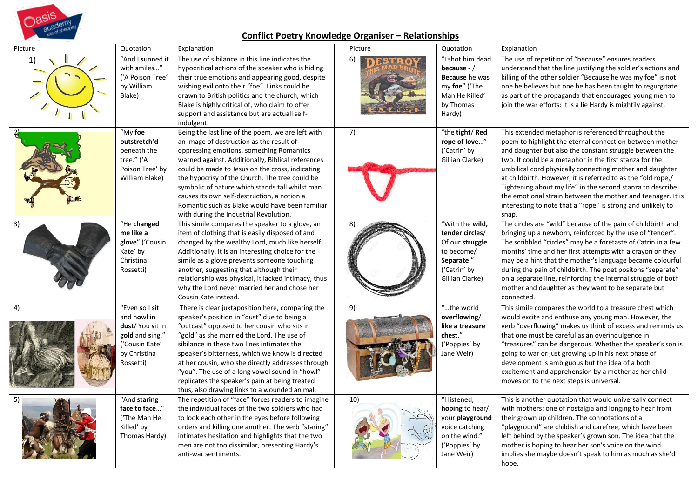

## **Conflict Poetry Knowledge Organiser – Relationships**

| Picture | Quotation                                                                                                           | Explanation                                                                                                                                                                                                                                                                                                                                                                                                                                                                                             | Picture | Quotation                                                                                                            | Explanation                                                                                                                                                                                                                                                                                                                                                                                                                                                                                                                                                           |
|---------|---------------------------------------------------------------------------------------------------------------------|---------------------------------------------------------------------------------------------------------------------------------------------------------------------------------------------------------------------------------------------------------------------------------------------------------------------------------------------------------------------------------------------------------------------------------------------------------------------------------------------------------|---------|----------------------------------------------------------------------------------------------------------------------|-----------------------------------------------------------------------------------------------------------------------------------------------------------------------------------------------------------------------------------------------------------------------------------------------------------------------------------------------------------------------------------------------------------------------------------------------------------------------------------------------------------------------------------------------------------------------|
| 1)      | "And I sunned it<br>with smiles"<br>('A Poison Tree'<br>by William<br>Blake)                                        | The use of sibilance in this line indicates the<br>hypocritical actions of the speaker who is hiding<br>their true emotions and appearing good, despite<br>wishing evil onto their "foe". Links could be<br>drawn to British politics and the church, which<br>Blake is highly critical of, who claim to offer<br>support and assistance but are actuall self-<br>indulgent.                                                                                                                            |         | "I shot him dead<br>because - $/$<br>Because he was<br>my foe" ('The<br>Man He Killed'<br>by Thomas<br>Hardy)        | The use of repetition of "because" ensures readers<br>understand that the line justifying the soldier's actions and<br>killing of the other soldier "Because he was my foe" is not<br>one he believes but one he has been taught to regurgitate<br>as part of the propaganda that encouraged young men to<br>join the war efforts: it is a lie Hardy is mightily against.                                                                                                                                                                                             |
|         | "My foe<br>outstretch'd<br>beneath the<br>tree." ('A<br>Poison Tree' by<br>William Blake)                           | Being the last line of the poem, we are left with<br>an image of destruction as the result of<br>oppressing emotions, something Romantics<br>warned against. Additionally, Biblical references<br>could be made to Jesus on the cross, indicating<br>the hypocrisy of the Church. The tree could be<br>symbolic of nature which stands tall whilst man<br>causes its own self-destruction, a notion a<br>Romantic such as Blake would have been familiar<br>with during the Industrial Revolution.      | 7)      | "the tight/Red<br>rope of love"<br>('Catrin' by<br>Gillian Clarke)                                                   | This extended metaphor is referenced throughout the<br>poem to highlight the eternal connection between mother<br>and daughter but also the constant struggle between the<br>two. It could be a metaphor in the first stanza for the<br>umbilical cord physically connecting mother and daughter<br>at childbirth. However, it is referred to as the "old rope,/<br>Tightening about my life" in the second stanza to describe<br>the emotional strain between the mother and teenager. It is<br>interesting to note that a "rope" is strong and unlikely to<br>snap. |
| 3)      | "He changed<br>me like a<br>glove" ('Cousin<br>Kate' by<br>Christina<br>Rossetti)                                   | This simile compares the speaker to a glove, an<br>item of clothing that is easily disposed of and<br>changed by the wealthy Lord, much like herself.<br>Additionally, it is an interesting choice for the<br>simile as a glove prevents someone touching<br>another, suggesting that although their<br>relationship was physical, it lacked intimacy, thus<br>why the Lord never married her and chose her<br>Cousin Kate instead.                                                                     |         | "With the wild,<br>tender circles/<br>Of our struggle<br>to become/<br>Separate."<br>('Catrin' by<br>Gillian Clarke) | The circles are "wild" because of the pain of childbirth and<br>bringing up a newborn, reinforced by the use of "tender".<br>The scribbled "circles" may be a foretaste of Catrin in a few<br>months' time and her first attempts with a crayon or they<br>may be a hint that the mother's language became colourful<br>during the pain of childbirth. The poet positons "separate"<br>on a separate line, reinforcing the internal struggle of both<br>mother and daughter as they want to be separate but<br>connected.                                             |
| 4)      | "Even so I sit<br>and howl in<br>dust/ You sit in<br>gold and sing."<br>('Cousin Kate'<br>by Christina<br>Rossetti) | There is clear juxtaposition here, comparing the<br>speaker's position in "dust" due to being a<br>"outcast" opposed to her cousin who sits in<br>"gold" as she married the Lord. The use of<br>sibilance in these two lines intimates the<br>speaker's bitterness, which we know is directed<br>at her cousin, who she directly addresses through<br>"you". The use of a long vowel sound in "howl"<br>replicates the speaker's pain at being treated<br>thus, also drawing links to a wounded animal. | 9)      | "the world<br>overflowing/<br>like a treasure<br>chest."<br>('Poppies' by<br>Jane Weir)                              | This simile compares the world to a treasure chest which<br>would excite and enthuse any young man. However, the<br>verb "overflowing" makes us think of excess and reminds us<br>that one must be careful as an overindulgence in<br>"treasures" can be dangerous. Whether the speaker's son is<br>going to war or just growing up in his next phase of<br>development is ambiguous but the idea of a both<br>excitement and apprehension by a mother as her child<br>moves on to the next steps is universal.                                                       |
|         | "And staring<br>face to face"<br>('The Man He<br>Killed' by<br>Thomas Hardy)                                        | The repetition of "face" forces readers to imagine<br>the individual faces of the two soldiers who had<br>to look each other in the eyes before following<br>orders and killing one another. The verb "staring"<br>intimates hesitation and highlights that the two<br>men are not too dissimilar, presenting Hardy's<br>anti-war sentiments.                                                                                                                                                           | 10)     | "I listened,<br>hoping to hear/<br>your playground<br>voice catching<br>on the wind."<br>('Poppies' by<br>Jane Weir) | This is another quotation that would universally connect<br>with mothers: one of nostalgia and longing to hear from<br>their grown up children. The connotations of a<br>"playground" are childish and carefree, which have been<br>left behind by the speaker's grown son. The idea that the<br>mother is hoping to hear her son's voice on the wind<br>implies she maybe doesn't speak to him as much as she'd<br>hope.                                                                                                                                             |